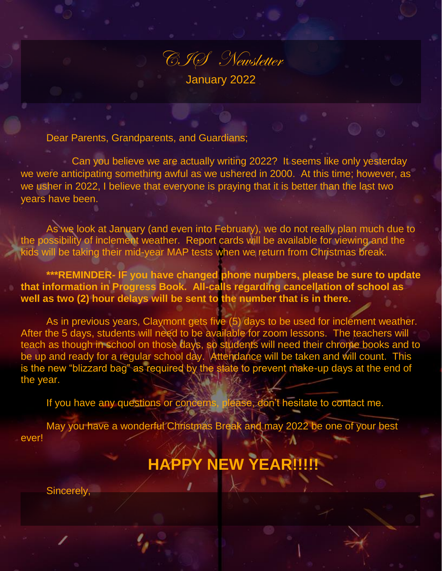

Dear Parents, Grandparents, and Guardians;

Can you believe we are actually writing 2022? It seems like only yesterday we were anticipating something awful as we ushered in 2000. At this time; however, as we usher in 2022, I believe that everyone is praying that it is better than the last two years have been.

As we look at January (and even into February), we do not really plan much due to the possibility of inclement weather. Report cards will be available for viewing and the kids will be taking their mid-year MAP tests when we return from Christmas break.

**\*\*\*REMINDER- IF you have changed phone numbers, please be sure to update that information in Progress Book. All-calls regarding cancellation of school as well as two (2) hour delays will be sent to the number that is in there.** 

As in previous years, Claymont gets five (5) days to be used for inclement weather. After the 5 days, students will need to be available for zoom lessons. The teachers will teach as though in school on those days, so students will need their chrome books and to be up and ready for a regular school day. Attendance will be taken and will count. This is the new "blizzard bag" as required by the state to prevent make-up days at the end of the year.

If you have any questions or concerns, please, don't hesitate to contact me.

May you have a wonderful Christmas Break and may 2022 be one of your best ever!

## **HAPPY NEW YEAR!!!!!**

Sincerely,